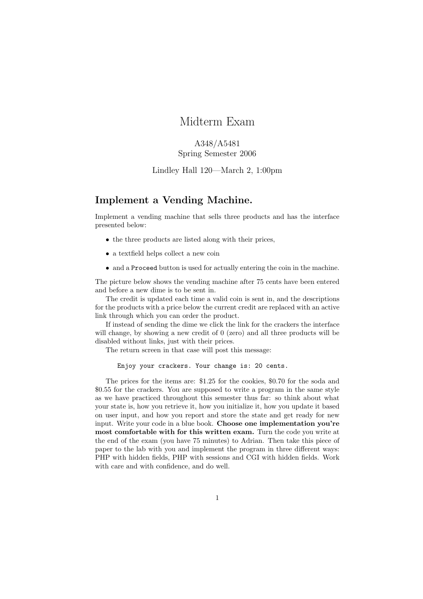# Midterm Exam

## A348/A5481 Spring Semester 2006

### Lindley Hall 120—March 2, 1:00pm

## Implement a Vending Machine.

Implement a vending machine that sells three products and has the interface presented below:

- the three products are listed along with their prices,
- a textfield helps collect a new coin
- and a Proceed button is used for actually entering the coin in the machine.

The picture below shows the vending machine after 75 cents have been entered and before a new dime is to be sent in.

The credit is updated each time a valid coin is sent in, and the descriptions for the products with a price below the current credit are replaced with an active link through which you can order the product.

If instead of sending the dime we click the link for the crackers the interface will change, by showing a new credit of 0 (zero) and all three products will be disabled without links, just with their prices.

The return screen in that case will post this message:

#### Enjoy your crackers. Your change is: 20 cents.

The prices for the items are: \$1.25 for the cookies, \$0.70 for the soda and \$0.55 for the crackers. You are supposed to write a program in the same style as we have practiced throughout this semester thus far: so think about what your state is, how you retrieve it, how you initialize it, how you update it based on user input, and how you report and store the state and get ready for new input. Write your code in a blue book. Choose one implementation you're most comfortable with for this written exam. Turn the code you write at the end of the exam (you have 75 minutes) to Adrian. Then take this piece of paper to the lab with you and implement the program in three different ways: PHP with hidden fields, PHP with sessions and CGI with hidden fields. Work with care and with confidence, and do well.